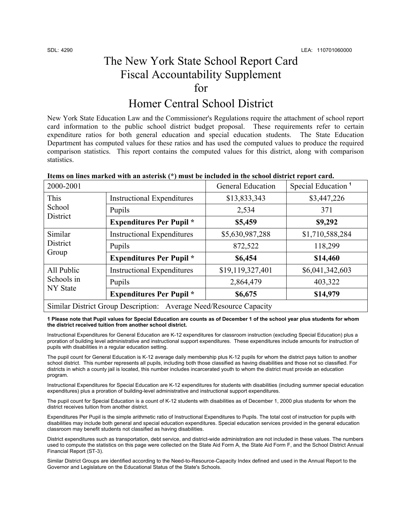## The New York State School Report Card Fiscal Accountability Supplement for

## Homer Central School District

New York State Education Law and the Commissioner's Regulations require the attachment of school report card information to the public school district budget proposal. These requirements refer to certain expenditure ratios for both general education and special education students. The State Education Department has computed values for these ratios and has used the computed values to produce the required comparison statistics. This report contains the computed values for this district, along with comparison statistics.

| rtenis on nifes mai itea with an asterish (<br>, mast be included in the school district report cardi |                                   |                          |                                |  |
|-------------------------------------------------------------------------------------------------------|-----------------------------------|--------------------------|--------------------------------|--|
| 2000-2001                                                                                             |                                   | <b>General Education</b> | Special Education <sup>1</sup> |  |
| This<br>School<br>District                                                                            | <b>Instructional Expenditures</b> | \$13,833,343             | \$3,447,226                    |  |
|                                                                                                       | Pupils                            | 2,534                    | 371                            |  |
|                                                                                                       | <b>Expenditures Per Pupil</b> *   | \$5,459                  | \$9,292                        |  |
| Similar<br>District<br>Group                                                                          | <b>Instructional Expenditures</b> | \$5,630,987,288          | \$1,710,588,284                |  |
|                                                                                                       | Pupils                            | 872,522                  | 118,299                        |  |
|                                                                                                       | <b>Expenditures Per Pupil</b> *   | \$6,454                  | \$14,460                       |  |
| All Public<br>Schools in<br><b>NY</b> State                                                           | <b>Instructional Expenditures</b> | \$19,119,327,401         | \$6,041,342,603                |  |
|                                                                                                       | Pupils                            | 2,864,479                | 403,322                        |  |
|                                                                                                       | <b>Expenditures Per Pupil</b> *   | \$6,675                  | \$14,979                       |  |
| Similar District Group Description: Average Need/Resource Capacity                                    |                                   |                          |                                |  |

### **Items on lines marked with an asterisk (\*) must be included in the school district report card.**

**1 Please note that Pupil values for Special Education are counts as of December 1 of the school year plus students for whom the district received tuition from another school district.** 

Instructional Expenditures for General Education are K-12 expenditures for classroom instruction (excluding Special Education) plus a proration of building level administrative and instructional support expenditures. These expenditures include amounts for instruction of pupils with disabilities in a regular education setting.

The pupil count for General Education is K-12 average daily membership plus K-12 pupils for whom the district pays tuition to another school district. This number represents all pupils, including both those classified as having disabilities and those not so classified. For districts in which a county jail is located, this number includes incarcerated youth to whom the district must provide an education program.

Instructional Expenditures for Special Education are K-12 expenditures for students with disabilities (including summer special education expenditures) plus a proration of building-level administrative and instructional support expenditures.

The pupil count for Special Education is a count of K-12 students with disabilities as of December 1, 2000 plus students for whom the district receives tuition from another district.

Expenditures Per Pupil is the simple arithmetic ratio of Instructional Expenditures to Pupils. The total cost of instruction for pupils with disabilities may include both general and special education expenditures. Special education services provided in the general education classroom may benefit students not classified as having disabilities.

District expenditures such as transportation, debt service, and district-wide administration are not included in these values. The numbers used to compute the statistics on this page were collected on the State Aid Form A, the State Aid Form F, and the School District Annual Financial Report (ST-3).

Similar District Groups are identified according to the Need-to-Resource-Capacity Index defined and used in the Annual Report to the Governor and Legislature on the Educational Status of the State's Schools.